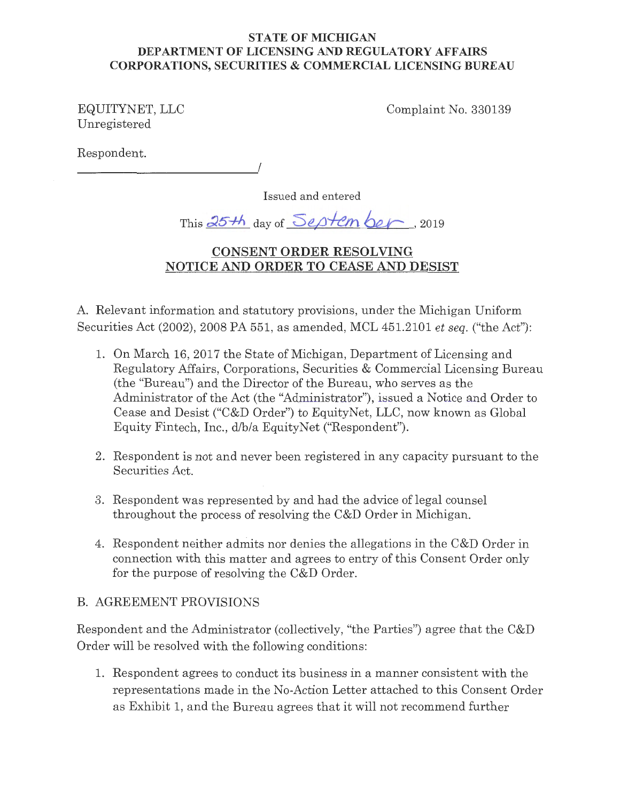# **STATE OF MICHIGAN DEPARTMENT OF LICENSING AND REGULATORY AFFAIRS CORPORATIONS, SECURITIES & COMMERCIAL LICENSING BUREAU**

EQUITYNET, LLC Unregistered

Complaint No. 330139

Respondent.

*\_\_\_\_\_\_\_\_\_\_\_\_\_ .!* 

Issued and entered

This 25th day of *Septem ber*, 2019

# **CONSENT ORDER RESOLVING NOTICE AND ORDER TO CEASE AND DESIST**

A. Relevant information and statutory provisions, under the Michigan Uniform Securities Act (2002), 2008 PA 551, as amended, MCL 451.2101 *et seq.* ("the Act"):

- 1. On March 16, 2017 the State of Michigan, Department of Licensing and Regulatory Affairs, Corporations, Securities & Commercial Licensing Bureau (the "Bureau") and the Director of the Bureau, who serves as the Administrator of the Act (the "Administrator"), issued a Notice and Order to Cease and Desist ("C&D Order") to EquityNet, LLC, now known as Global Equity Fintech, Inc., d/b/a EquityNet ("Respondent").
- 2. Respondent is not and never been registered in any capacity pursuant to the Securities Act.
- 3. Respondent was represented by and had the advice of legal counsel throughout the process of resolving the C&D Order in Michigan.
- 4. Respondent neither admits nor denies the allegations in the C&D Order in connection with this matter and agrees to entry of this Consent Order only for the purpose of resolving the C&D Order.

# B. AGREEMENT PROVISIONS

Respondent and the Administrator (collectively, "the Parties") agree that the C&D Order will be resolved with the following conditions:

1. Respondent agrees to conduct its business in a manner consistent with the representations made in the No-Action Letter attached to this Consent Order as Exhibit 1, and the Bureau agrees that it will not recommend further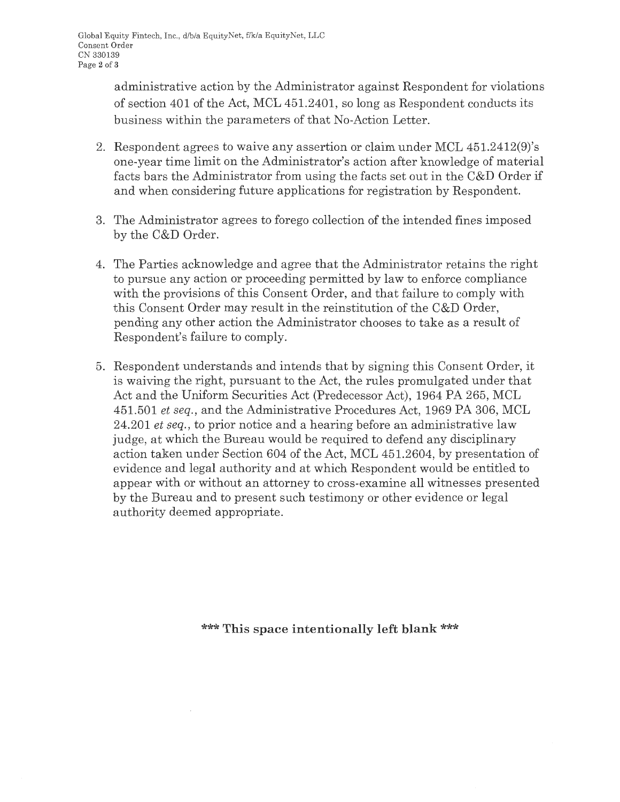$\cdot$ 

administrative action by the Administrator against Respondent for violations of section 401 of the Act, MCL 451.2401, so long as Respondent conducts its business within the parameters of that No-Action Letter.

- 2. Respondent agrees to waive any assertion or claim under MCL 451.2412(9)'s one-year time limit on the Administrator's action after knowledge of material facts bars the Administrator from using the facts set out in the C&D Order if and when considering future applications for registration by Respondent.
- 3. The Administrator agrees to forego collection of the intended fines imposed by the C&D Order.
- 4. The Parties acknowledge and agree that the Administrator retains the right to pursue any action or proceeding permitted by law to enforce compliance with the provisions of this Consent Order, and that failure to comply with this Consent Order may result in the reinstitution of the C&D Order, pending any other action the Administrator chooses to take as a result of Respondent's failure to comply.
- 5. Respondent understands and intends that by signing this Consent Order, it is waiving the right, pursuant to the Act, the rules promulgated under that Act and the Uniform Securities Act (Predecessor Act), 1964 PA 265, MCL 451.501 *et seq.,* and the Administrative Procedures Act, 1969 PA 306, MCL 24.201 *et seq.,* to prior notice and a hearing before an administrative law judge, at which the Bureau would be required to defend any disciplinary action taken under Section 604 of the Act, MCL 451.2604, by presentation of evidence and legal authority and at which Respondent would be entitled to appear with or without an attorney to cross-examine all witnesses presented by the Bureau and to present such testimony or other evidence or legal authority deemed appropriate.

\*\*\* **This space intentionally left blank** \*\*\*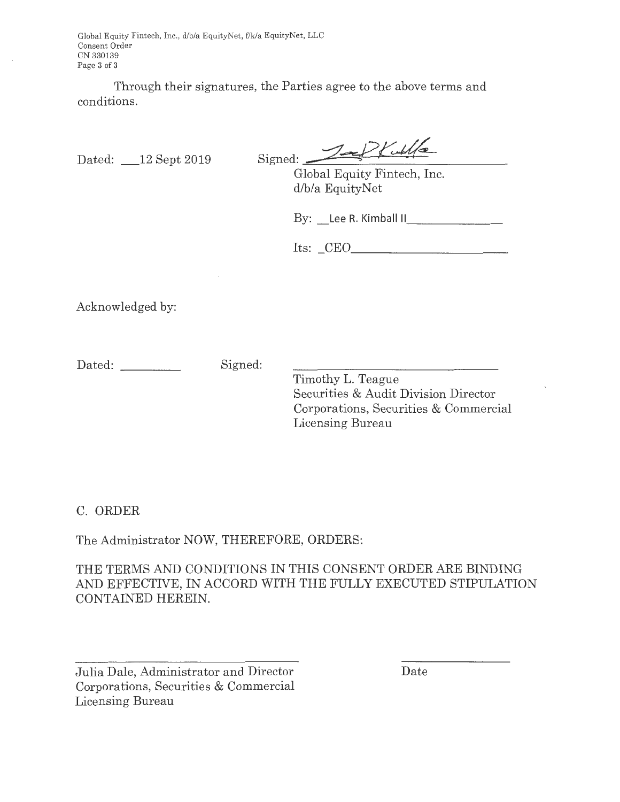Global Equity Fintech, Inc., d/b/a EquityNet, ffk/a EquityNet, LLC Consent Order CN 330139 Page **3** of **3** 

Through their signatures, the Parties agree to the above terms and conditions.

Dated: \_12 Sept 2019

 $Signed: 2-2$ 

Global Equity Fintech, Inc. d/b/a EquityNet

By: Lee R. Kimball II

Its: CEO

Acknowledged by:

Dated: Signed:

Timothy L. Teague Securities & Audit Division Director Corporations, Securities & Commercial Licensing Bureau

C. ORDER

The Administrator NOW, THEREFORE, ORDERS:

THE TERMS AND CONDITIONS IN THIS CONSENT ORDER ARE BINDING AND EFFECTIVE, IN ACCORD WITH THE FULLY EXECUTED STIPULATION CONTAINED HEREIN.

Julia Dale, Administrator and Director Corporations, Securities & Commercial Licensing Bureau

Date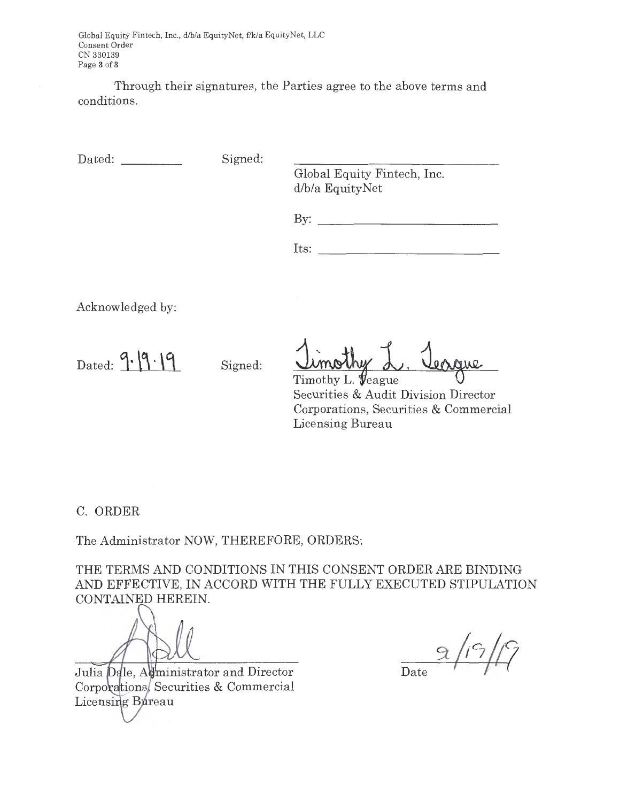Global Equity Fintech, Inc., d/b/a EquityNet, f/k/a EquityNet, LLC Consent Order CN 330139 Page **3** of **3** 

Through their signatures, the Parties agree to the above terms and conditions.

Dated: Signed:

Global Equity Fintech, Inc. d/b/a EquityNet

By: -------------

Its:

Acknowledged by:

Dated:  $9. |9.19$  Signed:

<u>Umothy L. Vergue</u>

Securities & Audit Division Director Corporations, Securities & Commercial Licensing Bureau

C. ORDER

The Administrator NOW, THEREFORE, ORDERS:

THE TERMS AND CONDITIONS IN THIS CONSENT ORDER ARE BINDING AND EFFECTIVE, IN ACCORD WITH THE FULLY EXECUTED STIPULATION CONTAINED HEREIN.

Julia Dale, Administrator and Director Corporations, Securities & Commercial Licensing Bureau

Date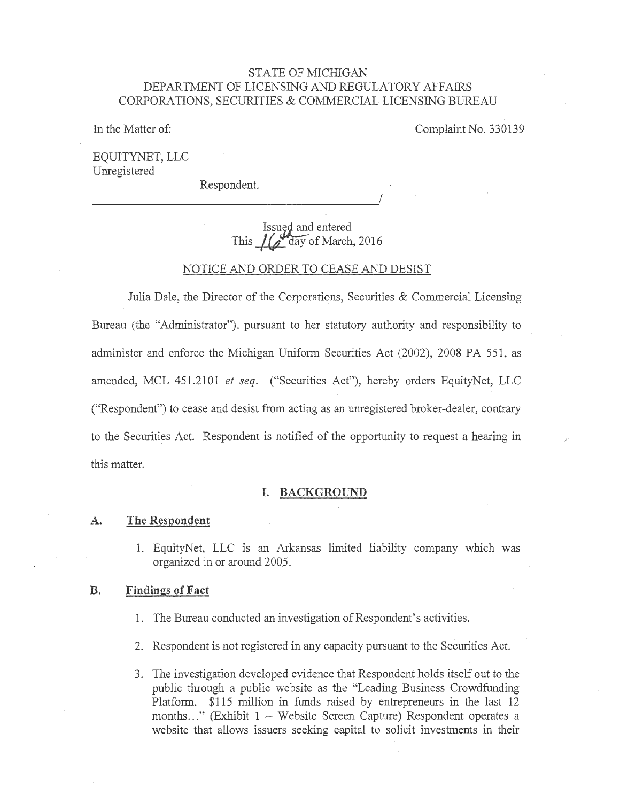## STATE OF MICHIGAN DEPARTMENT OF LICENSING AND REGULATORY AFFAIRS CORPORATIONS, SECURITIES & COMMERCIAL LICENSING BUREAU

In the Matter of: Complaint No. 330139

EQUITYNET, LLC Unregistered

Respondent.

*\_\_\_\_\_\_\_\_\_\_\_\_\_\_\_\_\_\_\_\_\_ .!* 

# Issued and entered This  $1/2$ <sup>t</sup>day of March, 2016

### NOTICE AND ORDER TO CEASE AND DESIST

Julia Dale, the Director of the Corporations, Securities & Commercial Licensing Bureau (the "Administrator"), pursuant to her statutory authority and responsibility to administer and enforce the Michigan Uniform Securities Act (2002), 2008 PA 551, as amended, MCL 451.2101 *et seq.* ("Securities Act"), hereby orders EquityNet, LLC ("Respondent") to cease and desist from acting as an unregistered broker-dealer, contrary to the Securities Act. Respondent is notified of the opportunity to request a hearing in this matter.

### **I. BACKGROUND**

#### **A. The Respondent**

1. EquityNet, LLC is an Arkansas limited liability company which was organized in or around 2005.

### **B. Findings of Fact**

- 1. The Bureau conducted an investigation of Respondent's activities.
- 2. Respondent is not registered in any capacity pursuant to the Securities Act.
- 3. The investigation developed evidence that Respondent holds itself out to the public through a public website as the "Leading Business Crowdfunding Platform. \$115 million in funds raised by entrepreneurs in the last 12 months..." (Exhibit 1 - Website Screen Capture) Respondent operates a website that allows issuers seeking capital to solicit investments in their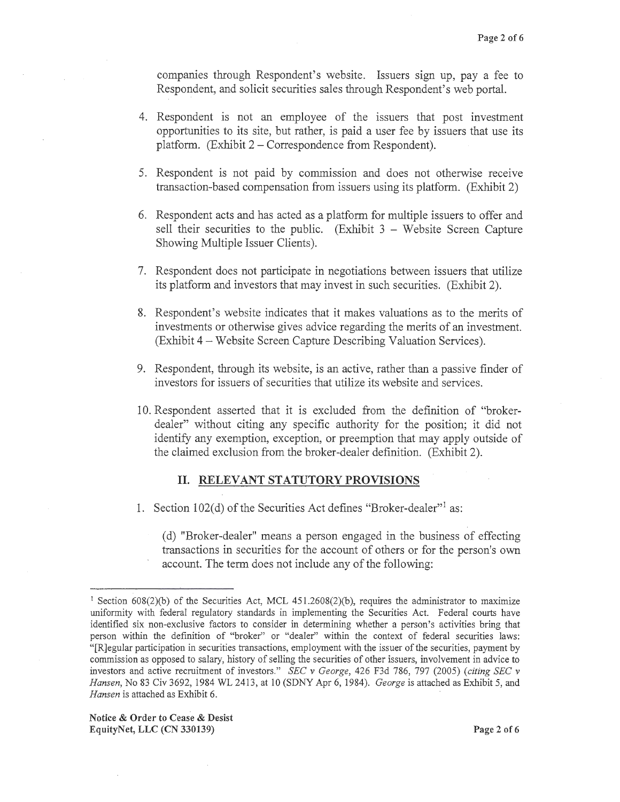companies through Respondent's website. Issuers sign up, pay a fee to Respondent, and solicit securities sales through Respondent's web portal.

- 4. Respondent is not an employee of the issuers that post investment opportunities to its site, but rather, is paid a user fee by issuers that use its platform. (Exhibit 2 – Correspondence from Respondent).
- 5. Respondent is not paid by commission and does not otherwise receive transaction-based compensation from issuers using its platform. (Exhibit 2)
- 6. Respondent acts and has acted as a platform for multiple issuers to offer and sell their securities to the public. (Exhibit  $3 -$  Website Screen Capture Showing Multiple Issuer Clients).
- 7. Respondent does not participate in negotiations between issuers that utilize its platform and investors that may invest in such securities. (Exhibit 2).
- 8. Respondent's website indicates that it makes valuations as to the merits of investments or otherwise gives advice regarding the merits of an investment. (Exhibit 4 - Website Screen Capture Describing Valuation Services).
- 9. Respondent, through its website, is an active, rather than a passive finder of investors for issuers of securities that utilize its website and services.
- 10. Respondent asserted that it is excluded from the definition of "brokerdealer" without citing any specific authority for the position; it did not identify any exemption, exception, or preemption that may apply outside of the claimed exclusion from the broker-dealer definition. (Exhibit 2).

### II. **RELEVANT STATUTORY PROVISIONS**

1. Section 102(d) of the Securities Act defines "Broker-dealer"<sup>1</sup> as:

( d) "Broker-dealer" means a person engaged in the business of effecting transactions in securities for the account of others or for the person's own account. The term does not include any of the following:

**Notice** & **Order to Cease** & **Desist EquityNet, LLC (CN 330139) Page 2 of6** 

<sup>&</sup>lt;sup>1</sup> Section 608(2)(b) of the Securities Act, MCL 451.2608(2)(b), requires the administrator to maximize uniformity with federal regulatory standards in implementing the Securities Act. Federal courts have identified six non-exclusive factors to consider in determining whether a person's activities bring that person within the definition of "broker" or "dealer" within the context of federal securities laws: "[R]egular participation in securities transactions, employment with the issuer of the securities, payment by commission as opposed to salary, history of selling the securities of other issuers, involvement in advice to investors and active recruitment of investors." *SEC v George,* 426 F3d 786, 797 (2005) *(citing SEC v Hansen,* No. 83 Civ 3692, 1984 WL 2413, at 10 (SDNY Apr 6, 1984). *George* is attached as Exhibit 5, and *Hansen* is attached as Exhibit 6.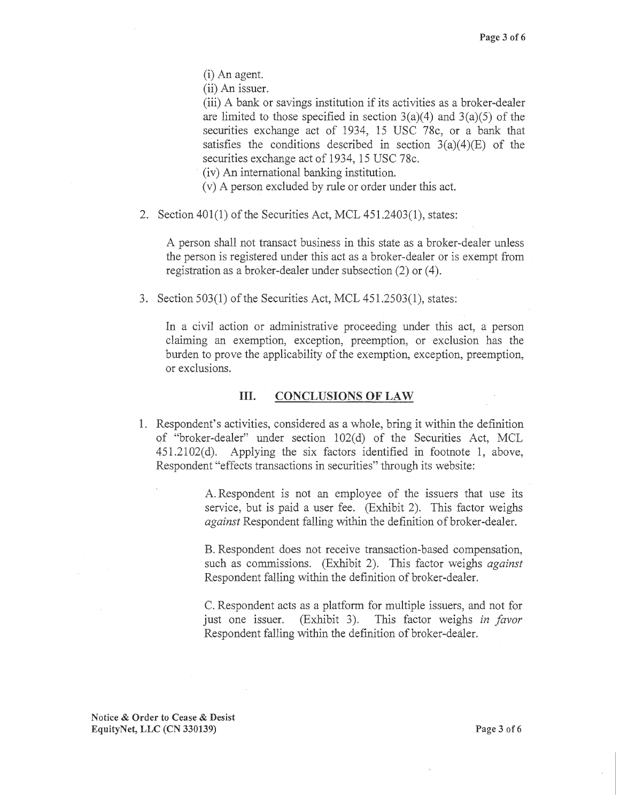(i) An agent.

(ii) An issuer.

(iii) A bank or savings institution if its activities as a broker-dealer are limited to those specified in section  $3(a)(4)$  and  $3(a)(5)$  of the securities exchange act of 1934, 15 USC 78c, or a bank that satisfies the conditions described in section  $3(a)(4)(E)$  of the securities exchange act of 1934, 15 USC 78c.

(iv) An international banking institution.

- (v) A person excluded by rule or order under this act.
- 2. Section 401(1) of the Securities Act, MCL 451.2403(1), states:

A person shall not transact business in this state as a broker-dealer unless the person is registered under this act as a broker-dealer or is exempt from registration as a broker-dealer under subsection (2) or (4).

3. Section 503(1) of the Securities Act, MCL 451.2503(1), states:

In a civil action or administrative proceeding under this act, a person claiming an exemption, exception, preemption, or exclusion has the burden to prove the applicability of the exemption, exception, preemption, or exclusions.

### III. **CONCLUSIONS OF LAW**

1. Respondent's activities, considered as a whole, bring it within the definition of "broker-dealer" under section 102(d) of the Securities Act, MCL 451.2102(d). Applying the six factors identified in footnote 1, above, Respondent "effects transactions in securities" through its website:

> A. Respondent is not an employee of the issuers that use its service, but is paid a user fee. (Exhibit 2). This factor weighs *against* Respondent falling within the definition of broker-dealer.

> B. Respondent does not receive transaction-based compensation, such as commissions. (Exhibit 2). This factor weighs *against*  Respondent falling within the definition of broker-dealer.

> C. Respondent acts as a platform for multiple issuers, and not for just one issuer. (Exhibit 3). This factor weighs *in favor*  Respondent falling within the definition of broker-dealer.

**Notice** & **Order to Cease** & **Desist EquityNet, LLC (CN 330139) Page 3 of6**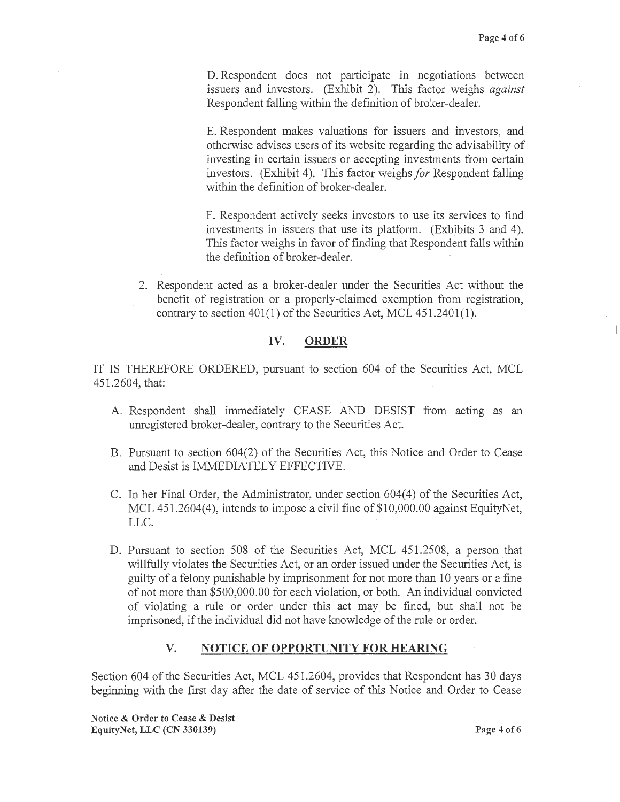D. Respondent does not participate in negotiations between issuers and investors. (Exhibit 2). This factor weighs *against*  Respondent falling within the definition of broker-dealer.

E. Respondent makes valuations for issuers and investors, and otherwise advises users of its website regarding the advisability of investing in certain issuers or accepting investments from certain investors. (Exhibit 4). This factor weighs *for* Respondent falling within the definition of broker-dealer.

F. Respondent actively seeks investors to use its services to find investments in issuers that use its platform. (Exhibits 3 and 4). This factor weighs in favor of finding that Respondent falls within the definition of broker-dealer.

2. Respondent acted as a broker-dealer under the Securities Act without the benefit of registration or a properly-claimed exemption from registration, contrary to section 401(1) of the Securities Act, MCL 451.2401(1).

## **IV. ORDER**

IT IS THEREFORE ORDERED, pursuant to section 604 of the Securities Act, MCL 451.2604, that:

- A. Respondent shall immediately CEASE AND DESIST from acting as an unregistered broker-dealer, contrary to the Securities Act.
- B. Pursuant to section 604(2) of the Securities Act, this Notice and Order to Cease and Desist is IMMEDIATELY EFFECTIVE.
- C. In her Final Order, the Administrator, under section 604(4) of the Securities Act, MCL 451.2604(4), intends to impose a civil fine of \$10,000.00 against EquityNet, LLC.
- D. Pursuant to section 508 of the Securities Act, MCL 451.2508, a person that willfully violates the Securities Act, or an order issued under the Securities Act, is guilty of a felony punishable by imprisonment for not more than 10 years or a fine of not more than \$500,000.00 for each violation, or both. An individual convicted of violating a rule or order under this act may be fined, but shall not be imprisoned, if the individual did not have knowledge of the rule or order.

## **V. NOTICE OF OPPORTUNITY FOR HEARING**

Section 604 of the Securities Act, MCL 451.2604, provides that Respondent has 30 days beginning with the first day after the date of service of this Notice and Order to Cease

**Notice** & **Order to Cease** & **Desist EquityNet, LLC (CN 330139) Page 4 of6**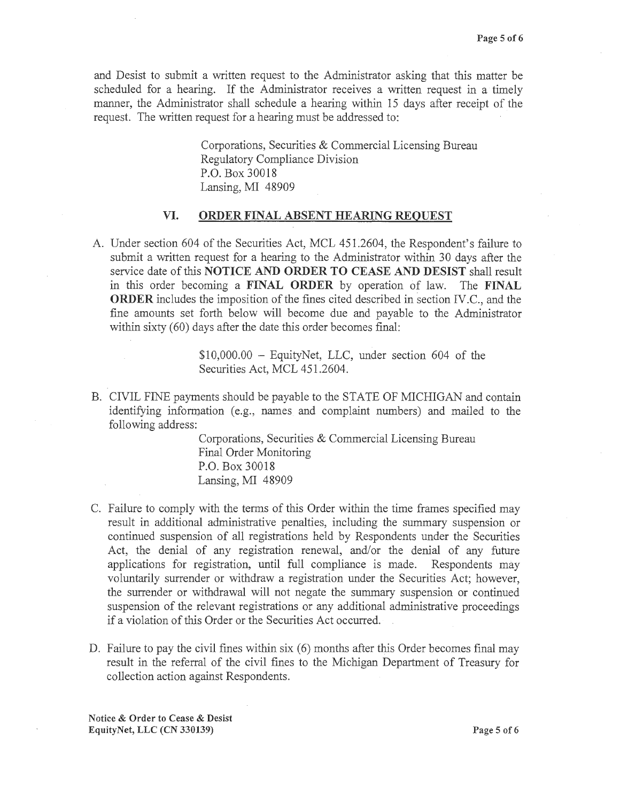and Desist to submit a written request to the Administrator asking that this matter be scheduled for a hearing. If the Administrator receives a written request in a timely manner, the Administrator shall schedule a hearing within 15 days after receipt of the request. The written request for a hearing must be addressed to:

> Corporations, Securities & Commercial Licensing Bureau Regulatory Compliance Division P.O. Box 30018 Lansing, MI 48909

### **VI. ORDER FINAL ABSENT HEARING REQUEST**

A. Under section 604 of the Securities Act, MCL 451.2604, the Respondent's failure to submit a written request for a hearing to the Administrator within 30 days after the service date of this **NOTICE AND ORDER TO CEASE AND DESIST** shall result in this order becoming a **FINAL ORDER** by operation of law. The **FINAL ORDER** includes the imposition of the fines cited described in section IV.C., and the fine amounts set forth below will become due and payable to the Administrator within sixty (60) days after the date this order becomes final:

> $$10,000.00 -$  EquityNet, LLC, under section 604 of the Securities Act, MCL 451.2604.

B. CIVIL FINE payments should be payable to the STATE OF MICHIGAN and contain identifying information (e.g., names and complaint numbers) and mailed to the following address:

> Corporations, Securities & Commercial Licensing Bureau Final Order Monitoring P.O. Box 30018 Lansing, MI 48909

- C. Failure to comply with the terms of this Order within the time frames specified may result in additional administrative penalties, including the summary suspension or continued suspension of all registrations held by Respondents under the Securities Act, the denial of any registration renewal, and/or the denial of any future applications for registration, until full compliance is made. Respondents may voluntarily surrender or withdraw a registration under the Securities Act; however, the surrender or withdrawal will not negate the summary suspension or continued suspension of the relevant registrations or any additional administrative proceedings if a violation of this Order or the Securities Act occurred.
- D. Failure to pay the civil fines within six (6) months after this Order becomes final may result in the referral of the civil fines to the Michigan Department of Treasury for collection action against Respondents.

**Notice** & **Order to Cease** & **Desist EquityNet, LLC (CN 330139) Page 5 of6**